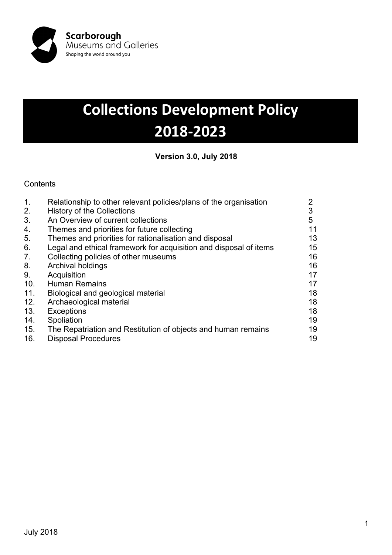

# **Collections Development Policy 2018-2023**

**Version 3.0, July 2018**

#### **Contents**

| 1.  | Relationship to other relevant policies/plans of the organisation | 2  |
|-----|-------------------------------------------------------------------|----|
| 2.  | <b>History of the Collections</b>                                 | 3  |
| 3.  | An Overview of current collections                                | 5  |
| 4.  | Themes and priorities for future collecting                       | 11 |
| 5.  | Themes and priorities for rationalisation and disposal            | 13 |
| 6.  | Legal and ethical framework for acquisition and disposal of items | 15 |
| 7.  | Collecting policies of other museums                              | 16 |
| 8.  | Archival holdings                                                 | 16 |
| 9.  | Acquisition                                                       | 17 |
| 10. | <b>Human Remains</b>                                              | 17 |
| 11. | Biological and geological material                                | 18 |
| 12. | Archaeological material                                           | 18 |
| 13. | <b>Exceptions</b>                                                 | 18 |
| 14. | Spoliation                                                        | 19 |
| 15. | The Repatriation and Restitution of objects and human remains     | 19 |
| 16. | <b>Disposal Procedures</b>                                        | 19 |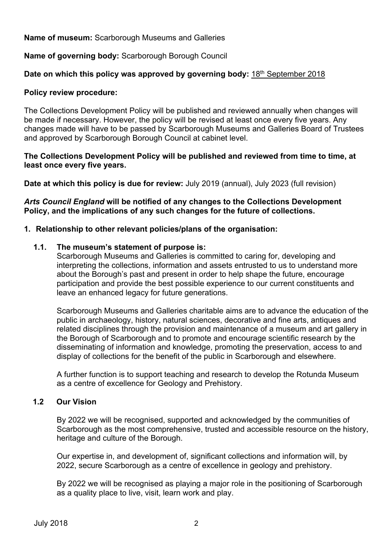#### **Name of museum:** Scarborough Museums and Galleries

#### **Name of governing body:** Scarborough Borough Council

#### Date on which this policy was approved by governing body: 18th September 2018

#### **Policy review procedure:**

The Collections Development Policy will be published and reviewed annually when changes will be made if necessary. However, the policy will be revised at least once every five years. Any changes made will have to be passed by Scarborough Museums and Galleries Board of Trustees and approved by Scarborough Borough Council at cabinet level.

#### **The Collections Development Policy will be published and reviewed from time to time, at least once every five years.**

**Date at which this policy is due for review:** July 2019 (annual), July 2023 (full revision)

*Arts Council England* **will be notified of any changes to the Collections Development Policy, and the implications of any such changes for the future of collections.**

#### **1. Relationship to other relevant policies/plans of the organisation:**

#### **1.1. The museum's statement of purpose is:**

Scarborough Museums and Galleries is committed to caring for, developing and interpreting the collections, information and assets entrusted to us to understand more about the Borough's past and present in order to help shape the future, encourage participation and provide the best possible experience to our current constituents and leave an enhanced legacy for future generations.

Scarborough Museums and Galleries charitable aims are to advance the education of the public in archaeology, history, natural sciences, decorative and fine arts, antiques and related disciplines through the provision and maintenance of a museum and art gallery in the Borough of Scarborough and to promote and encourage scientific research by the disseminating of information and knowledge, promoting the preservation, access to and display of collections for the benefit of the public in Scarborough and elsewhere.

A further function is to support teaching and research to develop the Rotunda Museum as a centre of excellence for Geology and Prehistory.

#### **1.2 Our Vision**

By 2022 we will be recognised, supported and acknowledged by the communities of Scarborough as the most comprehensive, trusted and accessible resource on the history, heritage and culture of the Borough.

Our expertise in, and development of, significant collections and information will, by 2022, secure Scarborough as a centre of excellence in geology and prehistory.

By 2022 we will be recognised as playing a major role in the positioning of Scarborough as a quality place to live, visit, learn work and play.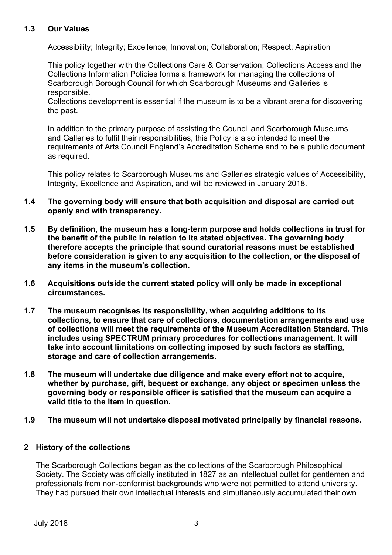#### **1.3 Our Values**

Accessibility; Integrity; Excellence; Innovation; Collaboration; Respect; Aspiration

This policy together with the Collections Care & Conservation, Collections Access and the Collections Information Policies forms a framework for managing the collections of Scarborough Borough Council for which Scarborough Museums and Galleries is responsible.

Collections development is essential if the museum is to be a vibrant arena for discovering the past.

In addition to the primary purpose of assisting the Council and Scarborough Museums and Galleries to fulfil their responsibilities, this Policy is also intended to meet the requirements of Arts Council England's Accreditation Scheme and to be a public document as required.

This policy relates to Scarborough Museums and Galleries strategic values of Accessibility, Integrity, Excellence and Aspiration, and will be reviewed in January 2018.

- **1.4 The governing body will ensure that both acquisition and disposal are carried out openly and with transparency.**
- **1.5 By definition, the museum has a long-term purpose and holds collections in trust for the benefit of the public in relation to its stated objectives. The governing body therefore accepts the principle that sound curatorial reasons must be established before consideration is given to any acquisition to the collection, or the disposal of any items in the museum's collection.**
- **1.6 Acquisitions outside the current stated policy will only be made in exceptional circumstances.**
- **1.7 The museum recognises its responsibility, when acquiring additions to its collections, to ensure that care of collections, documentation arrangements and use of collections will meet the requirements of the Museum Accreditation Standard. This includes using SPECTRUM primary procedures for collections management. It will take into account limitations on collecting imposed by such factors as staffing, storage and care of collection arrangements.**
- **1.8 The museum will undertake due diligence and make every effort not to acquire, whether by purchase, gift, bequest or exchange, any object or specimen unless the governing body or responsible officer is satisfied that the museum can acquire a valid title to the item in question.**
- **1.9 The museum will not undertake disposal motivated principally by financial reasons.**

#### **2 History of the collections**

The Scarborough Collections began as the collections of the Scarborough Philosophical Society. The Society was officially instituted in 1827 as an intellectual outlet for gentlemen and professionals from non-conformist backgrounds who were not permitted to attend university. They had pursued their own intellectual interests and simultaneously accumulated their own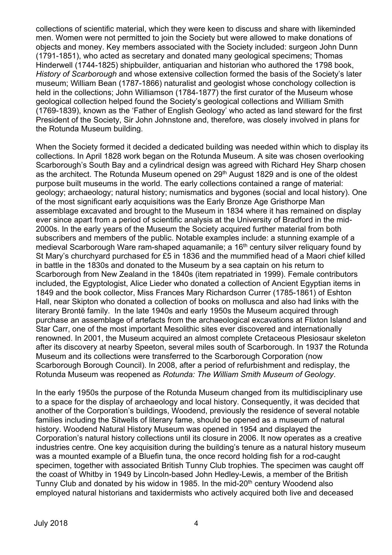collections of scientific material, which they were keen to discuss and share with likeminded men. Women were not permitted to join the Society but were allowed to make donations of objects and money. Key members associated with the Society included: surgeon John Dunn (1791-1851), who acted as secretary and donated many geological specimens; Thomas Hinderwell (1744-1825) shipbuilder, antiquarian and historian who authored the 1798 book, *History of Scarborough* and whose extensive collection formed the basis of the Society's later museum; William Bean (1787-1866) naturalist and geologist whose conchology collection is held in the collections; John Williamson (1784-1877) the first curator of the Museum whose geological collection helped found the Society's geological collections and William Smith (1769-1839), known as the 'Father of English Geology' who acted as land steward for the first President of the Society, Sir John Johnstone and, therefore, was closely involved in plans for the Rotunda Museum building.

When the Society formed it decided a dedicated building was needed within which to display its collections. In April 1828 work began on the Rotunda Museum. A site was chosen overlooking Scarborough's South Bay and a cylindrical design was agreed with Richard Hey Sharp chosen as the architect. The Rotunda Museum opened on 29<sup>th</sup> August 1829 and is one of the oldest purpose built museums in the world. The early collections contained a range of material: geology; archaeology; natural history; numismatics and bygones (social and local history). One of the most significant early acquisitions was the Early Bronze Age Gristhorpe Man assemblage excavated and brought to the Museum in 1834 where it has remained on display ever since apart from a period of scientific analysis at the University of Bradford in the mid-2000s. In the early years of the Museum the Society acquired further material from both subscribers and members of the public. Notable examples include: a stunning example of a medieval Scarborough Ware ram-shaped aquamanile; a 16<sup>th</sup> century silver reliquary found by St Mary's churchyard purchased for £5 in 1836 and the mummified head of a Maori chief killed in battle in the 1830s and donated to the Museum by a sea captain on his return to Scarborough from New Zealand in the 1840s (item repatriated in 1999). Female contributors included, the Egyptologist, Alice Lieder who donated a collection of Ancient Egyptian items in 1849 and the book collector, Miss Frances Mary Richardson Currer (1785-1861) of Eshton Hall, near Skipton who donated a collection of books on mollusca and also had links with the literary Brontë family. In the late 1940s and early 1950s the Museum acquired through purchase an assemblage of artefacts from the archaeological excavations at Flixton Island and Star Carr, one of the most important Mesolithic sites ever discovered and internationally renowned. In 2001, the Museum acquired an almost complete Cretaceous Plesiosaur skeleton after its discovery at nearby Speeton, several miles south of Scarborough. In 1937 the Rotunda Museum and its collections were transferred to the Scarborough Corporation (now Scarborough Borough Council). In 2008, after a period of refurbishment and redisplay, the Rotunda Museum was reopened as *Rotunda: The William Smith Museum of Geology*.

In the early 1950s the purpose of the Rotunda Museum changed from its multidisciplinary use to a space for the display of archaeology and local history. Consequently, it was decided that another of the Corporation's buildings, Woodend, previously the residence of several notable families including the Sitwells of literary fame, should be opened as a museum of natural history. Woodend Natural History Museum was opened in 1954 and displayed the Corporation's natural history collections until its closure in 2006. It now operates as a creative industries centre. One key acquisition during the building's tenure as a natural history museum was a mounted example of a Bluefin tuna, the once record holding fish for a rod-caught specimen, together with associated British Tunny Club trophies. The specimen was caught off the coast of Whitby in 1949 by Lincoln-based John Hedley-Lewis, a member of the British Tunny Club and donated by his widow in 1985. In the mid-20<sup>th</sup> century Woodend also employed natural historians and taxidermists who actively acquired both live and deceased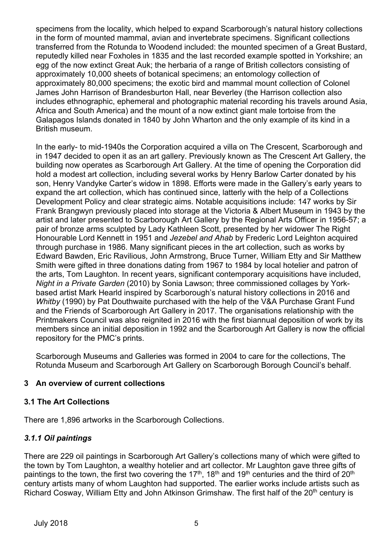specimens from the locality, which helped to expand Scarborough's natural history collections in the form of mounted mammal, avian and invertebrate specimens. Significant collections transferred from the Rotunda to Woodend included: the mounted specimen of a Great Bustard, reputedly killed near Foxholes in 1835 and the last recorded example spotted in Yorkshire; an egg of the now extinct Great Auk; the herbaria of a range of British collectors consisting of approximately 10,000 sheets of botanical specimens; an entomology collection of approximately 80,000 specimens; the exotic bird and mammal mount collection of Colonel James John Harrison of Brandesburton Hall, near Beverley (the Harrison collection also includes ethnographic, ephemeral and photographic material recording his travels around Asia, Africa and South America) and the mount of a now extinct giant male tortoise from the Galapagos Islands donated in 1840 by John Wharton and the only example of its kind in a British museum.

In the early- to mid-1940s the Corporation acquired a villa on The Crescent, Scarborough and in 1947 decided to open it as an art gallery. Previously known as The Crescent Art Gallery, the building now operates as Scarborough Art Gallery. At the time of opening the Corporation did hold a modest art collection, including several works by Henry Barlow Carter donated by his son, Henry Vandyke Carter's widow in 1898. Efforts were made in the Gallery's early years to expand the art collection, which has continued since, latterly with the help of a Collections Development Policy and clear strategic aims. Notable acquisitions include: 147 works by Sir Frank Brangwyn previously placed into storage at the Victoria & Albert Museum in 1943 by the artist and later presented to Scarborough Art Gallery by the Regional Arts Officer in 1956-57; a pair of bronze arms sculpted by Lady Kathleen Scott, presented by her widower The Right Honourable Lord Kennett in 1951 and *Jezebel and Ahab* by Frederic Lord Leighton acquired through purchase in 1986. Many significant pieces in the art collection, such as works by Edward Bawden, Eric Ravilious, John Armstrong, Bruce Turner, William Etty and Sir Matthew Smith were gifted in three donations dating from 1967 to 1984 by local hotelier and patron of the arts, Tom Laughton. In recent years, significant contemporary acquisitions have included, *Night in a Private Garden* (2010) by Sonia Lawson; three commissioned collages by Yorkbased artist Mark Hearld inspired by Scarborough's natural history collections in 2016 and *Whitby* (1990) by Pat Douthwaite purchased with the help of the V&A Purchase Grant Fund and the Friends of Scarborough Art Gallery in 2017. The organisations relationship with the Printmakers Council was also reignited in 2016 with the first biannual deposition of work by its members since an initial deposition in 1992 and the Scarborough Art Gallery is now the official repository for the PMC's prints.

Scarborough Museums and Galleries was formed in 2004 to care for the collections, The Rotunda Museum and Scarborough Art Gallery on Scarborough Borough Council's behalf.

## **3 An overview of current collections**

## **3.1 The Art Collections**

There are 1,896 artworks in the Scarborough Collections.

## *3.1.1 Oil paintings*

There are 229 oil paintings in Scarborough Art Gallery's collections many of which were gifted to the town by Tom Laughton, a wealthy hotelier and art collector. Mr Laughton gave three gifts of paintings to the town, the first two covering the 17<sup>th</sup>, 18<sup>th</sup> and 19<sup>th</sup> centuries and the third of 20<sup>th</sup> century artists many of whom Laughton had supported. The earlier works include artists such as Richard Cosway, William Etty and John Atkinson Grimshaw. The first half of the 20<sup>th</sup> century is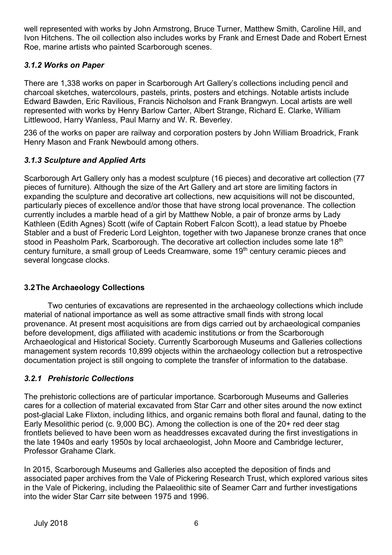well represented with works by John Armstrong, Bruce Turner, Matthew Smith, Caroline Hill, and Ivon Hitchens. The oil collection also includes works by Frank and Ernest Dade and Robert Ernest Roe, marine artists who painted Scarborough scenes.

# *3.1.2 Works on Paper*

There are 1,338 works on paper in Scarborough Art Gallery's collections including pencil and charcoal sketches, watercolours, pastels, prints, posters and etchings. Notable artists include Edward Bawden, Eric Ravilious, Francis Nicholson and Frank Brangwyn. Local artists are well represented with works by Henry Barlow Carter, Albert Strange, Richard E. Clarke, William Littlewood, Harry Wanless, Paul Marny and W. R. Beverley.

236 of the works on paper are railway and corporation posters by John William Broadrick, Frank Henry Mason and Frank Newbould among others.

## *3.1.3 Sculpture and Applied Arts*

Scarborough Art Gallery only has a modest sculpture (16 pieces) and decorative art collection (77 pieces of furniture). Although the size of the Art Gallery and art store are limiting factors in expanding the sculpture and decorative art collections, new acquisitions will not be discounted, particularly pieces of excellence and/or those that have strong local provenance. The collection currently includes a marble head of a girl by Matthew Noble, a pair of bronze arms by Lady Kathleen (Edith Agnes) Scott (wife of Captain Robert Falcon Scott), a lead statue by Phoebe Stabler and a bust of Frederic Lord Leighton, together with two Japanese bronze cranes that once stood in Peasholm Park, Scarborough. The decorative art collection includes some late 18<sup>th</sup> century furniture, a small group of Leeds Creamware, some 19<sup>th</sup> century ceramic pieces and several longcase clocks.

## **3.2The Archaeology Collections**

Two centuries of excavations are represented in the archaeology collections which include material of national importance as well as some attractive small finds with strong local provenance. At present most acquisitions are from digs carried out by archaeological companies before development, digs affiliated with academic institutions or from the Scarborough Archaeological and Historical Society. Currently Scarborough Museums and Galleries collections management system records 10,899 objects within the archaeology collection but a retrospective documentation project is still ongoing to complete the transfer of information to the database.

## *3.2.1 Prehistoric Collections*

The prehistoric collections are of particular importance. Scarborough Museums and Galleries cares for a collection of material excavated from Star Carr and other sites around the now extinct post-glacial Lake Flixton, including lithics, and organic remains both floral and faunal, dating to the Early Mesolithic period (c. 9,000 BC). Among the collection is one of the 20+ red deer stag frontlets believed to have been worn as headdresses excavated during the first investigations in the late 1940s and early 1950s by local archaeologist, John Moore and Cambridge lecturer, Professor Grahame Clark.

In 2015, Scarborough Museums and Galleries also accepted the deposition of finds and associated paper archives from the Vale of Pickering Research Trust, which explored various sites in the Vale of Pickering, including the Palaeolithic site of Seamer Carr and further investigations into the wider Star Carr site between 1975 and 1996.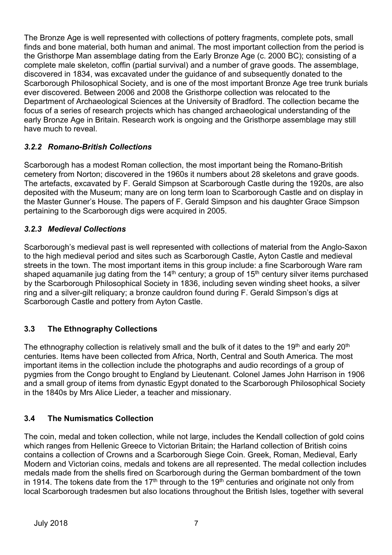The Bronze Age is well represented with collections of pottery fragments, complete pots, small finds and bone material, both human and animal. The most important collection from the period is the Gristhorpe Man assemblage dating from the Early Bronze Age (c. 2000 BC); consisting of a complete male skeleton, coffin (partial survival) and a number of grave goods. The assemblage, discovered in 1834, was excavated under the guidance of and subsequently donated to the Scarborough Philosophical Society, and is one of the most important Bronze Age tree trunk burials ever discovered. Between 2006 and 2008 the Gristhorpe collection was relocated to the Department of Archaeological Sciences at the University of Bradford. The collection became the focus of a series of research projects which has changed archaeological understanding of the early Bronze Age in Britain. Research work is ongoing and the Gristhorpe assemblage may still have much to reveal.

# *3.2.2 Romano-British Collections*

Scarborough has a modest Roman collection, the most important being the Romano-British cemetery from Norton; discovered in the 1960s it numbers about 28 skeletons and grave goods. The artefacts, excavated by F. Gerald Simpson at Scarborough Castle during the 1920s, are also deposited with the Museum; many are on long term loan to Scarborough Castle and on display in the Master Gunner's House. The papers of F. Gerald Simpson and his daughter Grace Simpson pertaining to the Scarborough digs were acquired in 2005.

## *3.2.3 Medieval Collections*

Scarborough's medieval past is well represented with collections of material from the Anglo-Saxon to the high medieval period and sites such as Scarborough Castle, Ayton Castle and medieval streets in the town. The most important items in this group include: a fine Scarborough Ware ram shaped aquamanile jug dating from the  $14<sup>th</sup>$  century; a group of  $15<sup>th</sup>$  century silver items purchased by the Scarborough Philosophical Society in 1836, including seven winding sheet hooks, a silver ring and a silver-gilt reliquary; a bronze cauldron found during F. Gerald Simpson's digs at Scarborough Castle and pottery from Ayton Castle.

# **3.3 The Ethnography Collections**

The ethnography collection is relatively small and the bulk of it dates to the 19<sup>th</sup> and early 20<sup>th</sup> centuries. Items have been collected from Africa, North, Central and South America. The most important items in the collection include the photographs and audio recordings of a group of pygmies from the Congo brought to England by Lieutenant. Colonel James John Harrison in 1906 and a small group of items from dynastic Egypt donated to the Scarborough Philosophical Society in the 1840s by Mrs Alice Lieder, a teacher and missionary.

## **3.4 The Numismatics Collection**

The coin, medal and token collection, while not large, includes the Kendall collection of gold coins which ranges from Hellenic Greece to Victorian Britain; the Harland collection of British coins contains a collection of Crowns and a Scarborough Siege Coin. Greek, Roman, Medieval, Early Modern and Victorian coins, medals and tokens are all represented. The medal collection includes medals made from the shells fired on Scarborough during the German bombardment of the town in 1914. The tokens date from the 17<sup>th</sup> through to the 19<sup>th</sup> centuries and originate not only from local Scarborough tradesmen but also locations throughout the British Isles, together with several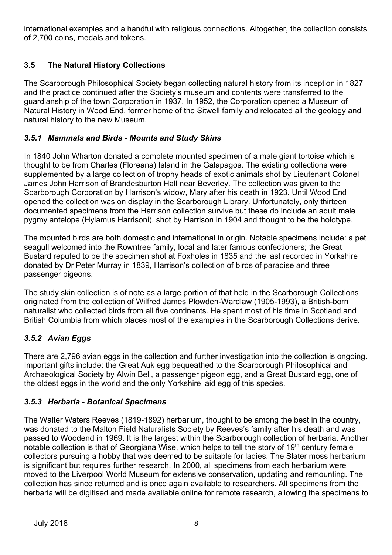international examples and a handful with religious connections. Altogether, the collection consists of 2,700 coins, medals and tokens.

# **3.5 The Natural History Collections**

The Scarborough Philosophical Society began collecting natural history from its inception in 1827 and the practice continued after the Society's museum and contents were transferred to the guardianship of the town Corporation in 1937. In 1952, the Corporation opened a Museum of Natural History in Wood End, former home of the Sitwell family and relocated all the geology and natural history to the new Museum.

## *3.5.1 Mammals and Birds - Mounts and Study Skins*

In 1840 John Wharton donated a complete mounted specimen of a male giant tortoise which is thought to be from Charles (Floreana) Island in the Galapagos. The existing collections were supplemented by a large collection of trophy heads of exotic animals shot by Lieutenant Colonel James John Harrison of Brandesburton Hall near Beverley. The collection was given to the Scarborough Corporation by Harrison's widow, Mary after his death in 1923. Until Wood End opened the collection was on display in the Scarborough Library. Unfortunately, only thirteen documented specimens from the Harrison collection survive but these do include an adult male pygmy antelope (Hylamus Harrisoni), shot by Harrison in 1904 and thought to be the holotype.

The mounted birds are both domestic and international in origin. Notable specimens include: a pet seagull welcomed into the Rowntree family, local and later famous confectioners; the Great Bustard reputed to be the specimen shot at Foxholes in 1835 and the last recorded in Yorkshire donated by Dr Peter Murray in 1839, Harrison's collection of birds of paradise and three passenger pigeons.

The study skin collection is of note as a large portion of that held in the Scarborough Collections originated from the collection of Wilfred James Plowden-Wardlaw (1905-1993), a British-born naturalist who collected birds from all five continents. He spent most of his time in Scotland and British Columbia from which places most of the examples in the Scarborough Collections derive.

# *3.5.2 Avian Eggs*

There are 2,796 avian eggs in the collection and further investigation into the collection is ongoing. Important gifts include: the Great Auk egg bequeathed to the Scarborough Philosophical and Archaeological Society by Alwin Bell, a passenger pigeon egg, and a Great Bustard egg, one of the oldest eggs in the world and the only Yorkshire laid egg of this species.

# *3.5.3 Herbaria - Botanical Specimens*

The Walter Waters Reeves (1819-1892) herbarium, thought to be among the best in the country, was donated to the Malton Field Naturalists Society by Reeves's family after his death and was passed to Woodend in 1969. It is the largest within the Scarborough collection of herbaria. Another notable collection is that of Georgiana Wise, which helps to tell the story of 19<sup>th</sup> century female collectors pursuing a hobby that was deemed to be suitable for ladies. The Slater moss herbarium is significant but requires further research. In 2000, all specimens from each herbarium were moved to the Liverpool World Museum for extensive conservation, updating and remounting. The collection has since returned and is once again available to researchers. All specimens from the herbaria will be digitised and made available online for remote research, allowing the specimens to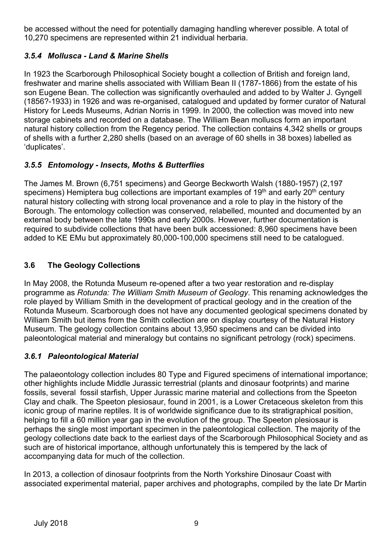be accessed without the need for potentially damaging handling wherever possible. A total of 10,270 specimens are represented within 21 individual herbaria.

# *3.5.4 Mollusca - Land & Marine Shells*

In 1923 the Scarborough Philosophical Society bought a collection of British and foreign land, freshwater and marine shells associated with William Bean II (1787-1866) from the estate of his son Eugene Bean. The collection was significantly overhauled and added to by Walter J. Gyngell (1856?-1933) in 1926 and was re-organised, catalogued and updated by former curator of Natural History for Leeds Museums, Adrian Norris in 1999. In 2000, the collection was moved into new storage cabinets and recorded on a database. The William Bean molluscs form an important natural history collection from the Regency period. The collection contains 4,342 shells or groups of shells with a further 2,280 shells (based on an average of 60 shells in 38 boxes) labelled as 'duplicates'.

# *3.5.5 Entomology - Insects, Moths & Butterflies*

The James M. Brown (6,751 specimens) and George Beckworth Walsh (1880-1957) (2,197 specimens) Hemiptera bug collections are important examples of  $19<sup>th</sup>$  and early  $20<sup>th</sup>$  century natural history collecting with strong local provenance and a role to play in the history of the Borough. The entomology collection was conserved, relabelled, mounted and documented by an external body between the late 1990s and early 2000s. However, further documentation is required to subdivide collections that have been bulk accessioned: 8,960 specimens have been added to KE EMu but approximately 80,000-100,000 specimens still need to be catalogued.

# **3.6 The Geology Collections**

In May 2008, the Rotunda Museum re-opened after a two year restoration and re-display programme as *Rotunda: The William Smith Museum of Geology*. This renaming acknowledges the role played by William Smith in the development of practical geology and in the creation of the Rotunda Museum. Scarborough does not have any documented geological specimens donated by William Smith but items from the Smith collection are on display courtesy of the Natural History Museum. The geology collection contains about 13,950 specimens and can be divided into paleontological material and mineralogy but contains no significant petrology (rock) specimens.

# *3.6.1 Paleontological Material*

The palaeontology collection includes 80 Type and Figured specimens of international importance; other highlights include Middle Jurassic terrestrial (plants and dinosaur footprints) and marine fossils, several fossil starfish, Upper Jurassic marine material and collections from the Speeton Clay and chalk. The Speeton plesiosaur, found in 2001, is a Lower Cretaceous skeleton from this iconic group of marine reptiles. It is of worldwide significance due to its stratigraphical position, helping to fill a 60 million year gap in the evolution of the group. The Speeton plesiosaur is perhaps the single most important specimen in the paleontological collection. The majority of the geology collections date back to the earliest days of the Scarborough Philosophical Society and as such are of historical importance, although unfortunately this is tempered by the lack of accompanying data for much of the collection.

In 2013, a collection of dinosaur footprints from the North Yorkshire Dinosaur Coast with associated experimental material, paper archives and photographs, compiled by the late Dr Martin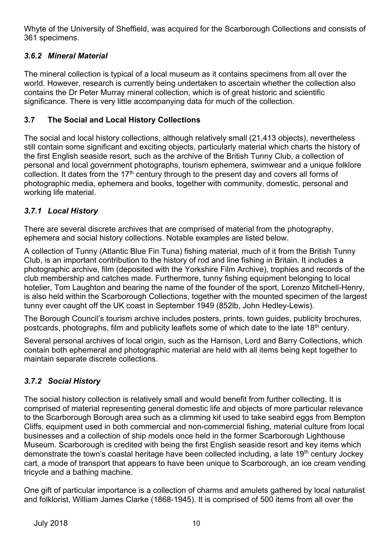Whyte of the University of Sheffield, was acquired for the Scarborough Collections and consists of 361 specimens.

# *3.6.2 Mineral Material*

The mineral collection is typical of a local museum as it contains specimens from all over the world. However, research is currently being undertaken to ascertain whether the collection also contains the Dr Peter Murray mineral collection, which is of great historic and scientific significance. There is very little accompanying data for much of the collection.

# **3.7 The Social and Local History Collections**

The social and local history collections, although relatively small (21,413 objects), nevertheless still contain some significant and exciting objects, particularly material which charts the history of the first English seaside resort, such as the archive of the British Tunny Club, a collection of personal and local government photographs, tourism ephemera, swimwear and a unique folklore collection. It dates from the  $17<sup>th</sup>$  century through to the present day and covers all forms of photographic media, ephemera and books, together with community, domestic, personal and working life material.

## *3.7.1 Local History*

There are several discrete archives that are comprised of material from the photography, ephemera and social history collections. Notable examples are listed below.

A collection of Tunny (Atlantic Blue Fin Tuna) fishing material, much of it from the British Tunny Club, is an important contribution to the history of rod and line fishing in Britain. It includes a photographic archive, film (deposited with the Yorkshire Film Archive), trophies and records of the club membership and catches made. Furthermore, tunny fishing equipment belonging to local hotelier, Tom Laughton and bearing the name of the founder of the sport, Lorenzo Mitchell-Henry, is also held within the Scarborough Collections, together with the mounted specimen of the largest tunny ever caught off the UK coast in September 1949 (852lb, John Hedley-Lewis).

The Borough Council's tourism archive includes posters, prints, town guides, publicity brochures, postcards, photographs, film and publicity leaflets some of which date to the late 18<sup>th</sup> century.

Several personal archives of local origin, such as the Harrison, Lord and Barry Collections, which contain both ephemeral and photographic material are held with all items being kept together to maintain separate discrete collections.

# *3.7.2 Social History*

The social history collection is relatively small and would benefit from further collecting. It is comprised of material representing general domestic life and objects of more particular relevance to the Scarborough Borough area such as a climming kit used to take seabird eggs from Bempton Cliffs, equipment used in both commercial and non-commercial fishing, material culture from local businesses and a collection of ship models once held in the former Scarborough Lighthouse Museum. Scarborough is credited with being the first English seaside resort and key items which demonstrate the town's coastal heritage have been collected including, a late 19<sup>th</sup> century Jockey cart, a mode of transport that appears to have been unique to Scarborough, an ice cream vending tricycle and a bathing machine.

One gift of particular importance is a collection of charms and amulets gathered by local naturalist and folklorist, William James Clarke (1868-1945). It is comprised of 500 items from all over the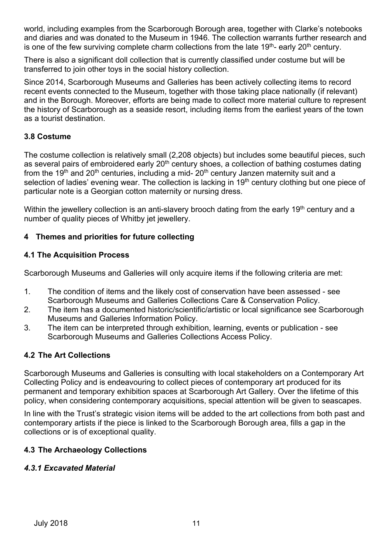world, including examples from the Scarborough Borough area, together with Clarke's notebooks and diaries and was donated to the Museum in 1946. The collection warrants further research and is one of the few surviving complete charm collections from the late  $19<sup>th</sup>$ - early  $20<sup>th</sup>$  century.

There is also a significant doll collection that is currently classified under costume but will be transferred to join other toys in the social history collection.

Since 2014, Scarborough Museums and Galleries has been actively collecting items to record recent events connected to the Museum, together with those taking place nationally (if relevant) and in the Borough. Moreover, efforts are being made to collect more material culture to represent the history of Scarborough as a seaside resort, including items from the earliest years of the town as a tourist destination.

## **3.8 Costume**

The costume collection is relatively small (2,208 objects) but includes some beautiful pieces, such as several pairs of embroidered early 20<sup>th</sup> century shoes, a collection of bathing costumes dating from the 19<sup>th</sup> and 20<sup>th</sup> centuries, including a mid- $20<sup>th</sup>$  century Janzen maternity suit and a selection of ladies' evening wear. The collection is lacking in 19<sup>th</sup> century clothing but one piece of particular note is a Georgian cotton maternity or nursing dress.

Within the jewellery collection is an anti-slavery brooch dating from the early 19<sup>th</sup> century and a number of quality pieces of Whitby jet jewellery.

## **4 Themes and priorities for future collecting**

#### **4.1 The Acquisition Process**

Scarborough Museums and Galleries will only acquire items if the following criteria are met:

- 1. The condition of items and the likely cost of conservation have been assessed see Scarborough Museums and Galleries Collections Care & Conservation Policy.
- 2. The item has a documented historic/scientific/artistic or local significance see Scarborough Museums and Galleries Information Policy.
- 3. The item can be interpreted through exhibition, learning, events or publication see Scarborough Museums and Galleries Collections Access Policy.

## **4.2 The Art Collections**

Scarborough Museums and Galleries is consulting with local stakeholders on a Contemporary Art Collecting Policy and is endeavouring to collect pieces of contemporary art produced for its permanent and temporary exhibition spaces at Scarborough Art Gallery. Over the lifetime of this policy, when considering contemporary acquisitions, special attention will be given to seascapes.

In line with the Trust's strategic vision items will be added to the art collections from both past and contemporary artists if the piece is linked to the Scarborough Borough area, fills a gap in the collections or is of exceptional quality.

## **4.3 The Archaeology Collections**

#### *4.3.1 Excavated Material*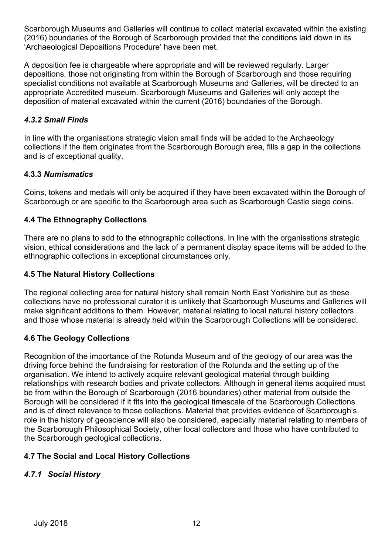Scarborough Museums and Galleries will continue to collect material excavated within the existing (2016) boundaries of the Borough of Scarborough provided that the conditions laid down in its 'Archaeological Depositions Procedure' have been met.

A deposition fee is chargeable where appropriate and will be reviewed regularly. Larger depositions, those not originating from within the Borough of Scarborough and those requiring specialist conditions not available at Scarborough Museums and Galleries, will be directed to an appropriate Accredited museum. Scarborough Museums and Galleries will only accept the deposition of material excavated within the current (2016) boundaries of the Borough.

## *4.3.2 Small Finds*

In line with the organisations strategic vision small finds will be added to the Archaeology collections if the item originates from the Scarborough Borough area, fills a gap in the collections and is of exceptional quality.

## **4.3.3** *Numismatics*

Coins, tokens and medals will only be acquired if they have been excavated within the Borough of Scarborough or are specific to the Scarborough area such as Scarborough Castle siege coins.

## **4.4 The Ethnography Collections**

There are no plans to add to the ethnographic collections. In line with the organisations strategic vision, ethical considerations and the lack of a permanent display space items will be added to the ethnographic collections in exceptional circumstances only.

## **4.5 The Natural History Collections**

The regional collecting area for natural history shall remain North East Yorkshire but as these collections have no professional curator it is unlikely that Scarborough Museums and Galleries will make significant additions to them. However, material relating to local natural history collectors and those whose material is already held within the Scarborough Collections will be considered.

## **4.6 The Geology Collections**

Recognition of the importance of the Rotunda Museum and of the geology of our area was the driving force behind the fundraising for restoration of the Rotunda and the setting up of the organisation. We intend to actively acquire relevant geological material through building relationships with research bodies and private collectors. Although in general items acquired must be from within the Borough of Scarborough (2016 boundaries) other material from outside the Borough will be considered if it fits into the geological timescale of the Scarborough Collections and is of direct relevance to those collections. Material that provides evidence of Scarborough's role in the history of geoscience will also be considered, especially material relating to members of the Scarborough Philosophical Society, other local collectors and those who have contributed to the Scarborough geological collections.

## **4.7 The Social and Local History Collections**

# *4.7.1 Social History*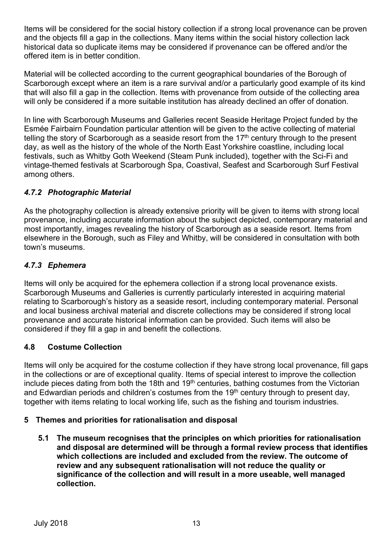Items will be considered for the social history collection if a strong local provenance can be proven and the objects fill a gap in the collections. Many items within the social history collection lack historical data so duplicate items may be considered if provenance can be offered and/or the offered item is in better condition.

Material will be collected according to the current geographical boundaries of the Borough of Scarborough except where an item is a rare survival and/or a particularly good example of its kind that will also fill a gap in the collection. Items with provenance from outside of the collecting area will only be considered if a more suitable institution has already declined an offer of donation.

In line with Scarborough Museums and Galleries recent Seaside Heritage Project funded by the Esmée Fairbairn Foundation particular attention will be given to the active collecting of material telling the story of Scarborough as a seaside resort from the  $17<sup>th</sup>$  century through to the present day, as well as the history of the whole of the North East Yorkshire coastline, including local festivals, such as Whitby Goth Weekend (Steam Punk included), together with the Sci-Fi and vintage-themed festivals at Scarborough Spa, Coastival, Seafest and Scarborough Surf Festival among others.

## *4.7.2 Photographic Material*

As the photography collection is already extensive priority will be given to items with strong local provenance, including accurate information about the subject depicted, contemporary material and most importantly, images revealing the history of Scarborough as a seaside resort. Items from elsewhere in the Borough, such as Filey and Whitby, will be considered in consultation with both town's museums.

## *4.7.3 Ephemera*

Items will only be acquired for the ephemera collection if a strong local provenance exists. Scarborough Museums and Galleries is currently particularly interested in acquiring material relating to Scarborough's history as a seaside resort, including contemporary material. Personal and local business archival material and discrete collections may be considered if strong local provenance and accurate historical information can be provided. Such items will also be considered if they fill a gap in and benefit the collections.

# **4.8 Costume Collection**

Items will only be acquired for the costume collection if they have strong local provenance, fill gaps in the collections or are of exceptional quality. Items of special interest to improve the collection include pieces dating from both the 18th and  $19<sup>th</sup>$  centuries, bathing costumes from the Victorian and Edwardian periods and children's costumes from the 19<sup>th</sup> century through to present day, together with items relating to local working life, such as the fishing and tourism industries.

## **5 Themes and priorities for rationalisation and disposal**

**5.1 The museum recognises that the principles on which priorities for rationalisation and disposal are determined will be through a formal review process that identifies which collections are included and excluded from the review. The outcome of review and any subsequent rationalisation will not reduce the quality or significance of the collection and will result in a more useable, well managed collection.**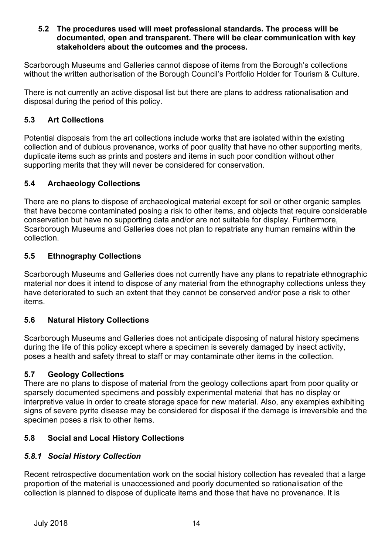#### **5.2 The procedures used will meet professional standards. The process will be documented, open and transparent. There will be clear communication with key stakeholders about the outcomes and the process.**

Scarborough Museums and Galleries cannot dispose of items from the Borough's collections without the written authorisation of the Borough Council's Portfolio Holder for Tourism & Culture.

There is not currently an active disposal list but there are plans to address rationalisation and disposal during the period of this policy.

## **5.3 Art Collections**

Potential disposals from the art collections include works that are isolated within the existing collection and of dubious provenance, works of poor quality that have no other supporting merits, duplicate items such as prints and posters and items in such poor condition without other supporting merits that they will never be considered for conservation.

## **5.4 Archaeology Collections**

There are no plans to dispose of archaeological material except for soil or other organic samples that have become contaminated posing a risk to other items, and objects that require considerable conservation but have no supporting data and/or are not suitable for display. Furthermore, Scarborough Museums and Galleries does not plan to repatriate any human remains within the collection.

## **5.5 Ethnography Collections**

Scarborough Museums and Galleries does not currently have any plans to repatriate ethnographic material nor does it intend to dispose of any material from the ethnography collections unless they have deteriorated to such an extent that they cannot be conserved and/or pose a risk to other items.

# **5.6 Natural History Collections**

Scarborough Museums and Galleries does not anticipate disposing of natural history specimens during the life of this policy except where a specimen is severely damaged by insect activity, poses a health and safety threat to staff or may contaminate other items in the collection.

## **5.7 Geology Collections**

There are no plans to dispose of material from the geology collections apart from poor quality or sparsely documented specimens and possibly experimental material that has no display or interpretive value in order to create storage space for new material. Also, any examples exhibiting signs of severe pyrite disease may be considered for disposal if the damage is irreversible and the specimen poses a risk to other items.

## **5.8 Social and Local History Collections**

## *5.8.1 Social History Collection*

Recent retrospective documentation work on the social history collection has revealed that a large proportion of the material is unaccessioned and poorly documented so rationalisation of the collection is planned to dispose of duplicate items and those that have no provenance. It is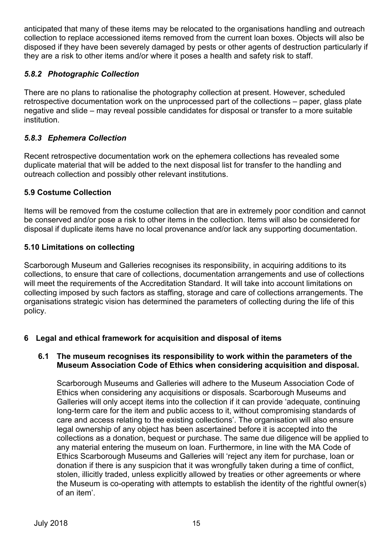anticipated that many of these items may be relocated to the organisations handling and outreach collection to replace accessioned items removed from the current loan boxes. Objects will also be disposed if they have been severely damaged by pests or other agents of destruction particularly if they are a risk to other items and/or where it poses a health and safety risk to staff.

## *5.8.2 Photographic Collection*

There are no plans to rationalise the photography collection at present. However, scheduled retrospective documentation work on the unprocessed part of the collections – paper, glass plate negative and slide – may reveal possible candidates for disposal or transfer to a more suitable institution.

## *5.8.3 Ephemera Collection*

Recent retrospective documentation work on the ephemera collections has revealed some duplicate material that will be added to the next disposal list for transfer to the handling and outreach collection and possibly other relevant institutions.

## **5.9 Costume Collection**

Items will be removed from the costume collection that are in extremely poor condition and cannot be conserved and/or pose a risk to other items in the collection. Items will also be considered for disposal if duplicate items have no local provenance and/or lack any supporting documentation.

## **5.10 Limitations on collecting**

Scarborough Museum and Galleries recognises its responsibility, in acquiring additions to its collections, to ensure that care of collections, documentation arrangements and use of collections will meet the requirements of the Accreditation Standard. It will take into account limitations on collecting imposed by such factors as staffing, storage and care of collections arrangements. The organisations strategic vision has determined the parameters of collecting during the life of this policy.

## **6 Legal and ethical framework for acquisition and disposal of items**

#### **6.1 The museum recognises its responsibility to work within the parameters of the Museum Association Code of Ethics when considering acquisition and disposal.**

Scarborough Museums and Galleries will adhere to the Museum Association Code of Ethics when considering any acquisitions or disposals. Scarborough Museums and Galleries will only accept items into the collection if it can provide 'adequate, continuing long-term care for the item and public access to it, without compromising standards of care and access relating to the existing collections'. The organisation will also ensure legal ownership of any object has been ascertained before it is accepted into the collections as a donation, bequest or purchase. The same due diligence will be applied to any material entering the museum on loan. Furthermore, in line with the MA Code of Ethics Scarborough Museums and Galleries will 'reject any item for purchase, loan or donation if there is any suspicion that it was wrongfully taken during a time of conflict, stolen, illicitly traded, unless explicitly allowed by treaties or other agreements or where the Museum is co-operating with attempts to establish the identity of the rightful owner(s) of an item'.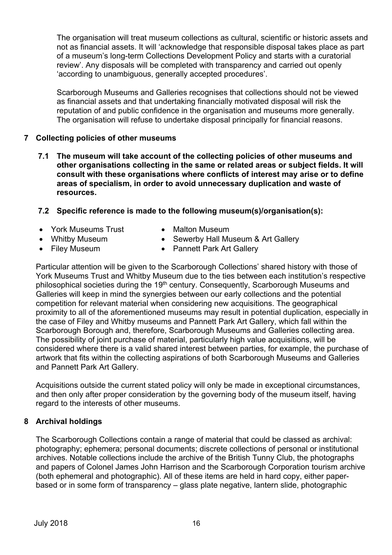The organisation will treat museum collections as cultural, scientific or historic assets and not as financial assets. It will 'acknowledge that responsible disposal takes place as part of a museum's long-term Collections Development Policy and starts with a curatorial review'. Any disposals will be completed with transparency and carried out openly 'according to unambiguous, generally accepted procedures'.

Scarborough Museums and Galleries recognises that collections should not be viewed as financial assets and that undertaking financially motivated disposal will risk the reputation of and public confidence in the organisation and museums more generally. The organisation will refuse to undertake disposal principally for financial reasons.

## **7 Collecting policies of other museums**

**7.1 The museum will take account of the collecting policies of other museums and other organisations collecting in the same or related areas or subject fields. It will consult with these organisations where conflicts of interest may arise or to define areas of specialism, in order to avoid unnecessary duplication and waste of resources.**

## **7.2 Specific reference is made to the following museum(s)/organisation(s):**

- York Museums Trust Malton Museum
	-
- Whitby Museum • Filey Museum
- Sewerby Hall Museum & Art Gallery
- Pannett Park Art Gallery

Particular attention will be given to the Scarborough Collections' shared history with those of York Museums Trust and Whitby Museum due to the ties between each institution's respective philosophical societies during the 19th century. Consequently, Scarborough Museums and Galleries will keep in mind the synergies between our early collections and the potential competition for relevant material when considering new acquisitions. The geographical proximity to all of the aforementioned museums may result in potential duplication, especially in the case of Filey and Whitby museums and Pannett Park Art Gallery, which fall within the Scarborough Borough and, therefore, Scarborough Museums and Galleries collecting area. The possibility of joint purchase of material, particularly high value acquisitions, will be considered where there is a valid shared interest between parties, for example, the purchase of artwork that fits within the collecting aspirations of both Scarborough Museums and Galleries and Pannett Park Art Gallery.

Acquisitions outside the current stated policy will only be made in exceptional circumstances, and then only after proper consideration by the governing body of the museum itself, having regard to the interests of other museums.

# **8 Archival holdings**

The Scarborough Collections contain a range of material that could be classed as archival: photography; ephemera; personal documents; discrete collections of personal or institutional archives. Notable collections include the archive of the British Tunny Club, the photographs and papers of Colonel James John Harrison and the Scarborough Corporation tourism archive (both ephemeral and photographic). All of these items are held in hard copy, either paperbased or in some form of transparency – glass plate negative, lantern slide, photographic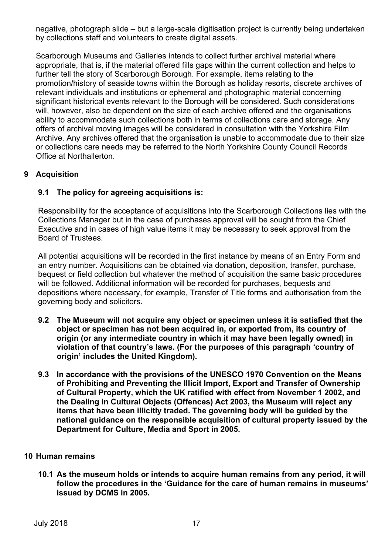negative, photograph slide – but a large-scale digitisation project is currently being undertaken by collections staff and volunteers to create digital assets.

Scarborough Museums and Galleries intends to collect further archival material where appropriate, that is, if the material offered fills gaps within the current collection and helps to further tell the story of Scarborough Borough. For example, items relating to the promotion/history of seaside towns within the Borough as holiday resorts, discrete archives of relevant individuals and institutions or ephemeral and photographic material concerning significant historical events relevant to the Borough will be considered. Such considerations will, however, also be dependent on the size of each archive offered and the organisations ability to accommodate such collections both in terms of collections care and storage. Any offers of archival moving images will be considered in consultation with the Yorkshire Film Archive. Any archives offered that the organisation is unable to accommodate due to their size or collections care needs may be referred to the North Yorkshire County Council Records Office at Northallerton.

## **9 Acquisition**

## **9.1 The policy for agreeing acquisitions is:**

Responsibility for the acceptance of acquisitions into the Scarborough Collections lies with the Collections Manager but in the case of purchases approval will be sought from the Chief Executive and in cases of high value items it may be necessary to seek approval from the Board of Trustees.

All potential acquisitions will be recorded in the first instance by means of an Entry Form and an entry number. Acquisitions can be obtained via donation, deposition, transfer, purchase, bequest or field collection but whatever the method of acquisition the same basic procedures will be followed. Additional information will be recorded for purchases, bequests and depositions where necessary, for example, Transfer of Title forms and authorisation from the governing body and solicitors.

- **9.2 The Museum will not acquire any object or specimen unless it is satisfied that the object or specimen has not been acquired in, or exported from, its country of origin (or any intermediate country in which it may have been legally owned) in violation of that country's laws. (For the purposes of this paragraph 'country of origin' includes the United Kingdom).**
- **9.3 In accordance with the provisions of the UNESCO 1970 Convention on the Means of Prohibiting and Preventing the Illicit Import, Export and Transfer of Ownership of Cultural Property, which the UK ratified with effect from November 1 2002, and the Dealing in Cultural Objects (Offences) Act 2003, the Museum will reject any items that have been illicitly traded. The governing body will be guided by the national guidance on the responsible acquisition of cultural property issued by the Department for Culture, Media and Sport in 2005.**

#### **10 Human remains**

**10.1 As the museum holds or intends to acquire human remains from any period, it will follow the procedures in the 'Guidance for the care of human remains in museums' issued by DCMS in 2005.**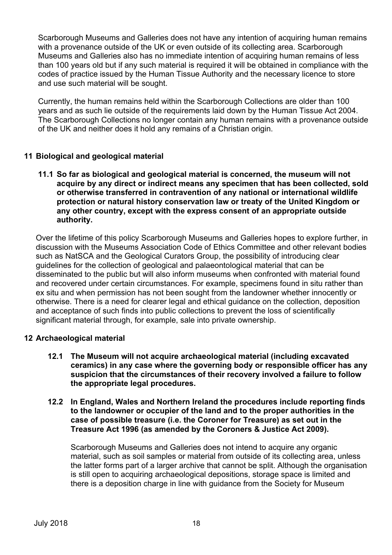Scarborough Museums and Galleries does not have any intention of acquiring human remains with a provenance outside of the UK or even outside of its collecting area. Scarborough Museums and Galleries also has no immediate intention of acquiring human remains of less than 100 years old but if any such material is required it will be obtained in compliance with the codes of practice issued by the Human Tissue Authority and the necessary licence to store and use such material will be sought.

Currently, the human remains held within the Scarborough Collections are older than 100 years and as such lie outside of the requirements laid down by the Human Tissue Act 2004. The Scarborough Collections no longer contain any human remains with a provenance outside of the UK and neither does it hold any remains of a Christian origin.

#### **11 Biological and geological material**

**11.1 So far as biological and geological material is concerned, the museum will not acquire by any direct or indirect means any specimen that has been collected, sold or otherwise transferred in contravention of any national or international wildlife protection or natural history conservation law or treaty of the United Kingdom or any other country, except with the express consent of an appropriate outside authority.**

Over the lifetime of this policy Scarborough Museums and Galleries hopes to explore further, in discussion with the Museums Association Code of Ethics Committee and other relevant bodies such as NatSCA and the Geological Curators Group, the possibility of introducing clear guidelines for the collection of geological and palaeontological material that can be disseminated to the public but will also inform museums when confronted with material found and recovered under certain circumstances. For example, specimens found in situ rather than ex situ and when permission has not been sought from the landowner whether innocently or otherwise. There is a need for clearer legal and ethical guidance on the collection, deposition and acceptance of such finds into public collections to prevent the loss of scientifically significant material through, for example, sale into private ownership.

#### **12 Archaeological material**

**12.1 The Museum will not acquire archaeological material (including excavated ceramics) in any case where the governing body or responsible officer has any suspicion that the circumstances of their recovery involved a failure to follow the appropriate legal procedures.**

#### **12.2 In England, Wales and Northern Ireland the procedures include reporting finds to the landowner or occupier of the land and to the proper authorities in the case of possible treasure (i.e. the Coroner for Treasure) as set out in the Treasure Act 1996 (as amended by the Coroners & Justice Act 2009).**

Scarborough Museums and Galleries does not intend to acquire any organic material, such as soil samples or material from outside of its collecting area, unless the latter forms part of a larger archive that cannot be split. Although the organisation is still open to acquiring archaeological depositions, storage space is limited and there is a deposition charge in line with guidance from the Society for Museum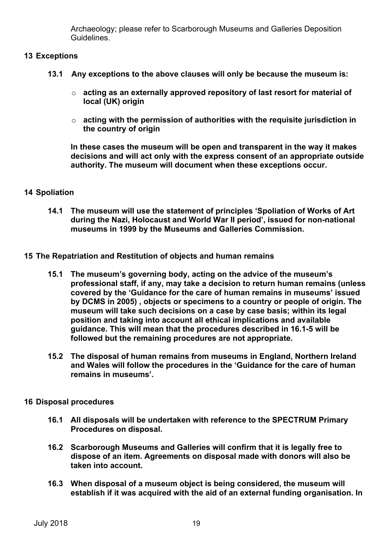Archaeology; please refer to Scarborough Museums and Galleries Deposition Guidelines.

#### **13 Exceptions**

- **13.1 Any exceptions to the above clauses will only be because the museum is:** 
	- o **acting as an externally approved repository of last resort for material of local (UK) origin**
	- o **acting with the permission of authorities with the requisite jurisdiction in the country of origin**

**In these cases the museum will be open and transparent in the way it makes decisions and will act only with the express consent of an appropriate outside authority. The museum will document when these exceptions occur.**

#### **14 Spoliation**

- **14.1 The museum will use the statement of principles 'Spoliation of Works of Art during the Nazi, Holocaust and World War II period', issued for non-national museums in 1999 by the Museums and Galleries Commission.**
- **15 The Repatriation and Restitution of objects and human remains**
	- **15.1 The museum's governing body, acting on the advice of the museum's professional staff, if any, may take a decision to return human remains (unless covered by the 'Guidance for the care of human remains in museums' issued by DCMS in 2005) , objects or specimens to a country or people of origin. The museum will take such decisions on a case by case basis; within its legal position and taking into account all ethical implications and available guidance. This will mean that the procedures described in 16.1-5 will be followed but the remaining procedures are not appropriate.**
	- **15.2 The disposal of human remains from museums in England, Northern Ireland and Wales will follow the procedures in the 'Guidance for the care of human remains in museums'.**

#### **16 Disposal procedures**

- **16.1 All disposals will be undertaken with reference to the SPECTRUM Primary Procedures on disposal.**
- **16.2 Scarborough Museums and Galleries will confirm that it is legally free to dispose of an item. Agreements on disposal made with donors will also be taken into account.**
- **16.3 When disposal of a museum object is being considered, the museum will establish if it was acquired with the aid of an external funding organisation. In**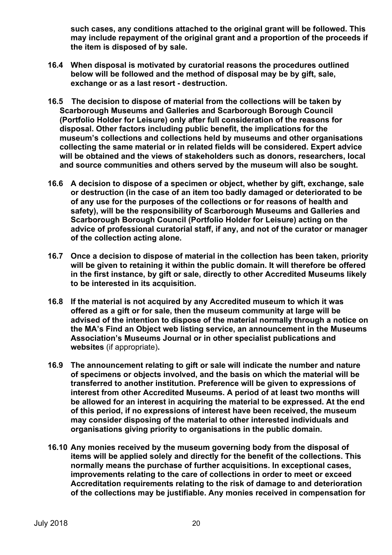**such cases, any conditions attached to the original grant will be followed. This may include repayment of the original grant and a proportion of the proceeds if the item is disposed of by sale.**

- **16.4 When disposal is motivated by curatorial reasons the procedures outlined below will be followed and the method of disposal may be by gift, sale, exchange or as a last resort - destruction.**
- **16.5 The decision to dispose of material from the collections will be taken by Scarborough Museums and Galleries and Scarborough Borough Council (Portfolio Holder for Leisure) only after full consideration of the reasons for disposal. Other factors including public benefit, the implications for the museum's collections and collections held by museums and other organisations collecting the same material or in related fields will be considered. Expert advice will be obtained and the views of stakeholders such as donors, researchers, local and source communities and others served by the museum will also be sought.**
- **16.6 A decision to dispose of a specimen or object, whether by gift, exchange, sale or destruction (in the case of an item too badly damaged or deteriorated to be of any use for the purposes of the collections or for reasons of health and safety), will be the responsibility of Scarborough Museums and Galleries and Scarborough Borough Council (Portfolio Holder for Leisure) acting on the advice of professional curatorial staff, if any, and not of the curator or manager of the collection acting alone.**
- **16.7 Once a decision to dispose of material in the collection has been taken, priority will be given to retaining it within the public domain. It will therefore be offered in the first instance, by gift or sale, directly to other Accredited Museums likely to be interested in its acquisition.**
- **16.8 If the material is not acquired by any Accredited museum to which it was offered as a gift or for sale, then the museum community at large will be advised of the intention to dispose of the material normally through a notice on the MA's Find an Object web listing service, an announcement in the Museums Association's Museums Journal or in other specialist publications and websites** (if appropriate)**.**
- **16.9 The announcement relating to gift or sale will indicate the number and nature of specimens or objects involved, and the basis on which the material will be transferred to another institution. Preference will be given to expressions of interest from other Accredited Museums. A period of at least two months will be allowed for an interest in acquiring the material to be expressed. At the end of this period, if no expressions of interest have been received, the museum may consider disposing of the material to other interested individuals and organisations giving priority to organisations in the public domain.**
- **16.10 Any monies received by the museum governing body from the disposal of items will be applied solely and directly for the benefit of the collections. This normally means the purchase of further acquisitions. In exceptional cases, improvements relating to the care of collections in order to meet or exceed Accreditation requirements relating to the risk of damage to and deterioration of the collections may be justifiable. Any monies received in compensation for**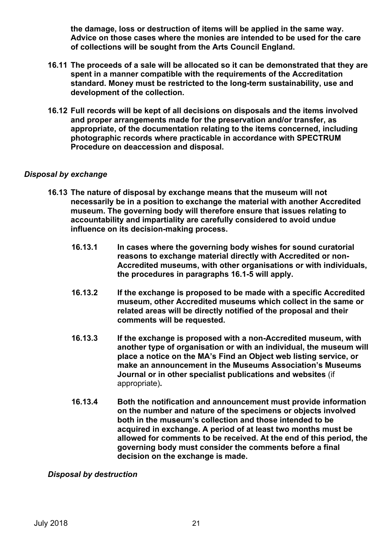**the damage, loss or destruction of items will be applied in the same way. Advice on those cases where the monies are intended to be used for the care of collections will be sought from the Arts Council England.**

- **16.11 The proceeds of a sale will be allocated so it can be demonstrated that they are spent in a manner compatible with the requirements of the Accreditation standard. Money must be restricted to the long-term sustainability, use and development of the collection.**
- **16.12 Full records will be kept of all decisions on disposals and the items involved and proper arrangements made for the preservation and/or transfer, as appropriate, of the documentation relating to the items concerned, including photographic records where practicable in accordance with SPECTRUM Procedure on deaccession and disposal.**

#### *Disposal by exchange*

- **16.13 The nature of disposal by exchange means that the museum will not necessarily be in a position to exchange the material with another Accredited museum. The governing body will therefore ensure that issues relating to accountability and impartiality are carefully considered to avoid undue influence on its decision-making process.**
	- **16.13.1 In cases where the governing body wishes for sound curatorial reasons to exchange material directly with Accredited or non-Accredited museums, with other organisations or with individuals, the procedures in paragraphs 16.1-5 will apply.**
	- **16.13.2 If the exchange is proposed to be made with a specific Accredited museum, other Accredited museums which collect in the same or related areas will be directly notified of the proposal and their comments will be requested.**
	- **16.13.3 If the exchange is proposed with a non-Accredited museum, with another type of organisation or with an individual, the museum will place a notice on the MA's Find an Object web listing service, or make an announcement in the Museums Association's Museums Journal or in other specialist publications and websites** (if appropriate)**.**
	- **16.13.4 Both the notification and announcement must provide information on the number and nature of the specimens or objects involved both in the museum's collection and those intended to be acquired in exchange. A period of at least two months must be allowed for comments to be received. At the end of this period, the governing body must consider the comments before a final decision on the exchange is made.**

#### *Disposal by destruction*